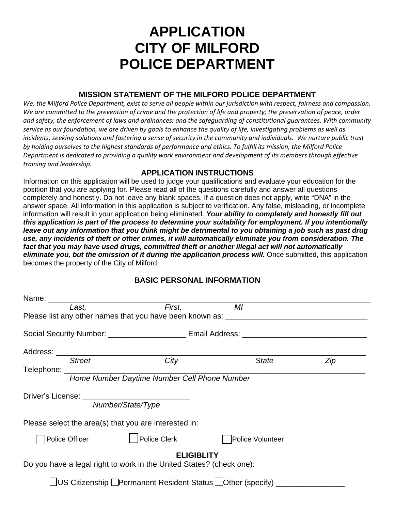# **APPLICATION CITY OF MILFORD POLICE DEPARTMENT**

## **MISSION STATEMENT OF THE MILFORD POLICE DEPARTMENT**

*We, the Milford Police Department, exist to serve all people within our jurisdiction with respect, fairness and compassion.*  We are committed to the prevention of crime and the protection of life and property; the preservation of peace, order *and safety, the enforcement of laws and ordinances; and the safeguarding of constitutional guarantees. With community service as our foundation, we are driven by goals to enhance the quality of life, investigating problems as well as incidents, seeking solutions and fostering a sense of security in the community and individuals. We nurture public trust by holding ourselves to the highest standards of performance and ethics. To fulfill its mission, the Milford Police Department is dedicated to providing a quality work environment and development of its members through effective training and leadership.* 

## **APPLICATION INSTRUCTIONS**

Information on this application will be used to judge your qualifications and evaluate your education for the position that you are applying for. Please read all of the questions carefully and answer all questions completely and honestly. Do not leave any blank spaces. If a question does not apply, write "DNA" in the answer space. All information in this application is subject to verification. Any false, misleading, or incomplete information will result in your application being eliminated. *Your ability to completely and honestly fill out this application is part of the process to determine your suitability for employment. If you intentionally*  leave out any information that you think might be detrimental to you obtaining a job such as past drug *use, any incidents of theft or other crimes, it will automatically eliminate you from consideration. The fact that you may have used drugs, committed theft or another illegal act will not automatically eliminate you, but the omission of it during the application process will.* **Once submitted, this application** becomes the property of the City of Milford.

| Last.                                                                                     | First,                                                                           | MI           |     |  |
|-------------------------------------------------------------------------------------------|----------------------------------------------------------------------------------|--------------|-----|--|
|                                                                                           | Please list any other names that you have been known as: _______________________ |              |     |  |
|                                                                                           |                                                                                  |              |     |  |
|                                                                                           |                                                                                  |              |     |  |
| <b>Street</b>                                                                             | City                                                                             | <b>State</b> | Zip |  |
| Home Number Daytime Number Cell Phone Number                                              |                                                                                  |              |     |  |
|                                                                                           | Number/State/Type                                                                |              |     |  |
| Please select the area(s) that you are interested in:                                     |                                                                                  |              |     |  |
| Police Clerk<br>Police Officer<br>Police Volunteer                                        |                                                                                  |              |     |  |
| <b>ELIGIBLITY</b><br>Do you have a legal right to work in the United States? (check one): |                                                                                  |              |     |  |
|                                                                                           |                                                                                  |              |     |  |
|                                                                                           | US Citizenship <b>OPermanent Resident Status Other (specify)</b> ________        |              |     |  |

## **BASIC PERSONAL INFORMATION**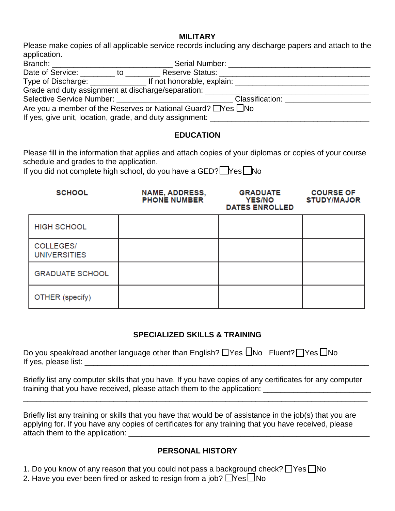#### **MILITARY**

Please make copies of all applicable service records including any discharge papers and attach to the application.

| Branch: ____________________________                                                                                                                         |  |                                                       |                                          |  |  |
|--------------------------------------------------------------------------------------------------------------------------------------------------------------|--|-------------------------------------------------------|------------------------------------------|--|--|
|                                                                                                                                                              |  | Date of Service: The Motor Contractor Reserve Status: |                                          |  |  |
|                                                                                                                                                              |  |                                                       |                                          |  |  |
|                                                                                                                                                              |  | Grade and duty assignment at discharge/separation:    |                                          |  |  |
|                                                                                                                                                              |  |                                                       | Classification: Electric Classification: |  |  |
| Are you a member of the Reserves or National Guard? $\Box$ Yes $\Box$ No<br>If yes, give unit, location, grade, and duty assignment: _______________________ |  |                                                       |                                          |  |  |

### **EDUCATION**

Please fill in the information that applies and attach copies of your diplomas or copies of your course schedule and grades to the application.

If you did not complete high school, do you have a GED?  $\Box$  Yes  $\Box$  No

| <b>SCHOOL</b>                    | NAME, ADDRESS,<br><b>PHONE NUMBER</b> | <b>GRADUATE</b><br><b>YES/NO</b><br><b>DATES ENROLLED</b> | <b>COURSE OF</b><br><b>STUDY/MAJOR</b> |
|----------------------------------|---------------------------------------|-----------------------------------------------------------|----------------------------------------|
| <b>HIGH SCHOOL</b>               |                                       |                                                           |                                        |
| COLLEGES/<br><b>UNIVERSITIES</b> |                                       |                                                           |                                        |
| <b>GRADUATE SCHOOL</b>           |                                       |                                                           |                                        |
| OTHER (specify)                  |                                       |                                                           |                                        |

### **SPECIALIZED SKILLS & TRAINING**

|                      |  | Do you speak/read another language other than English? □Yes □No Fluent? □Yes □No |  |
|----------------------|--|----------------------------------------------------------------------------------|--|
| If yes, please list: |  |                                                                                  |  |

Briefly list any computer skills that you have. If you have copies of any certificates for any computer training that you have received, please attach them to the application:

\_\_\_\_\_\_\_\_\_\_\_\_\_\_\_\_\_\_\_\_\_\_\_\_\_\_\_\_\_\_\_\_\_\_\_\_\_\_\_\_\_\_\_\_\_\_\_\_\_\_\_\_\_\_\_\_\_\_\_\_\_\_\_\_\_\_\_\_\_\_\_\_\_\_\_\_\_\_\_\_

Briefly list any training or skills that you have that would be of assistance in the job(s) that you are applying for. If you have any copies of certificates for any training that you have received, please attach them to the application: \_\_\_\_\_\_\_\_\_\_\_\_\_\_\_\_\_\_\_\_\_\_\_\_\_\_\_\_\_\_\_\_\_\_\_\_\_\_\_\_\_\_\_\_\_\_\_\_\_\_\_\_\_\_\_\_

## **PERSONAL HISTORY**

1. Do you know of any reason that you could not pass a background check?  $\Box$  Yes  $\Box$  No

2. Have you ever been fired or asked to resign from a job?  $\Box$ Yes  $\Box$ No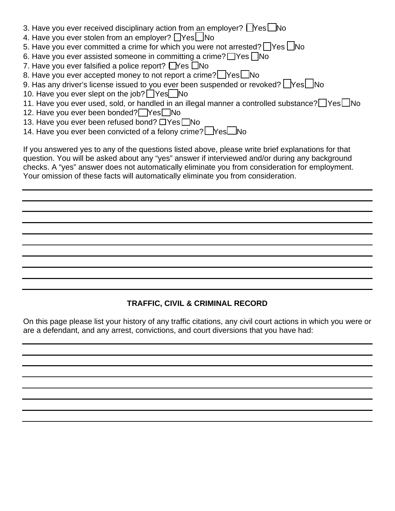- 3. Have you ever received disciplinary action from an employer?  $\Box$  Yes  $\Box$  No
- 4. Have you ever stolen from an employer?  $\Box$ Yes $\Box$ No
- 5. Have you ever committed a crime for which you were not arrested?  $\Box$  Yes  $\Box$  No
- 6. Have you ever assisted someone in committing a crime?  $\Box$  Yes  $\Box$  No
- 7. Have you ever falsified a police report?  $\Box$  Yes  $\Box$  No
- 8. Have you ever accepted money to not report a crime?  $\Box$  Yes  $\Box$  No
- 9. Has any driver's license issued to you ever been suspended or revoked?  $\Box$  Yes  $\Box$  No
- 10. Have you ever slept on the job?  $\Box$  Yes  $\Box$  No
- 11. Have you ever used, sold, or handled in an illegal manner a controlled substance?  $\Box$  Yes  $\Box$  No
- 12. Have you ever been bonded? Pes No
- 13. Have you ever been refused bond?  $\Box$  Yes  $\Box$  No
- 14. Have you ever been convicted of a felony crime?  $\Box$  Yes  $\Box$  No

If you answered yes to any of the questions listed above, please write brief explanations for that question. You will be asked about any "yes" answer if interviewed and/or during any background checks. A "yes" answer does not automatically eliminate you from consideration for employment. Your omission of these facts will automatically eliminate you from consideration.

# **TRAFFIC, CIVIL & CRIMINAL RECORD**

On this page please list your history of any traffic citations, any civil court actions in which you were or are a defendant, and any arrest, convictions, and court diversions that you have had: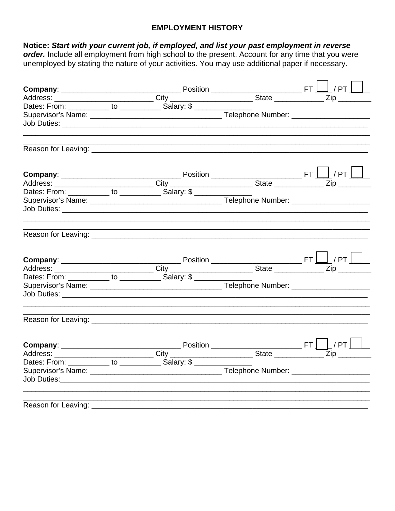## **EMPLOYMENT HISTORY**

# Notice: Start with your current job, if employed, and list your past employment in reverse

order. Include all employment from high school to the present. Account for any time that you were unemployed by stating the nature of your activities. You may use additional paper if necessary.

|                                                                   |  | $\begin{array}{c c c c c} \hline \textbf{Company:} & \textbf{F1} & \textbf{PT} & \textbf{PT} & \textbf{PT} & \textbf{PT} & \textbf{PT} & \textbf{PT} & \textbf{PT} & \textbf{PT} & \textbf{PT} & \textbf{PT} & \textbf{PT} & \textbf{PT} & \textbf{PT} & \textbf{PT} & \textbf{PT} & \textbf{PT} & \textbf{PT} & \textbf{PT} & \textbf{PT} & \textbf{PT} & \textbf{PT} & \textbf{PT} & \textbf{PT} & \textbf{PT} & \textbf{PT} & \textbf{PT} & \textbf$ |  |
|-------------------------------------------------------------------|--|---------------------------------------------------------------------------------------------------------------------------------------------------------------------------------------------------------------------------------------------------------------------------------------------------------------------------------------------------------------------------------------------------------------------------------------------------------|--|
|                                                                   |  |                                                                                                                                                                                                                                                                                                                                                                                                                                                         |  |
|                                                                   |  |                                                                                                                                                                                                                                                                                                                                                                                                                                                         |  |
|                                                                   |  |                                                                                                                                                                                                                                                                                                                                                                                                                                                         |  |
|                                                                   |  |                                                                                                                                                                                                                                                                                                                                                                                                                                                         |  |
|                                                                   |  |                                                                                                                                                                                                                                                                                                                                                                                                                                                         |  |
|                                                                   |  |                                                                                                                                                                                                                                                                                                                                                                                                                                                         |  |
|                                                                   |  |                                                                                                                                                                                                                                                                                                                                                                                                                                                         |  |
|                                                                   |  |                                                                                                                                                                                                                                                                                                                                                                                                                                                         |  |
|                                                                   |  |                                                                                                                                                                                                                                                                                                                                                                                                                                                         |  |
|                                                                   |  |                                                                                                                                                                                                                                                                                                                                                                                                                                                         |  |
|                                                                   |  |                                                                                                                                                                                                                                                                                                                                                                                                                                                         |  |
|                                                                   |  |                                                                                                                                                                                                                                                                                                                                                                                                                                                         |  |
|                                                                   |  |                                                                                                                                                                                                                                                                                                                                                                                                                                                         |  |
| Dates: From: ___________ to ___________ Salary: \$ ______________ |  |                                                                                                                                                                                                                                                                                                                                                                                                                                                         |  |
|                                                                   |  |                                                                                                                                                                                                                                                                                                                                                                                                                                                         |  |
|                                                                   |  |                                                                                                                                                                                                                                                                                                                                                                                                                                                         |  |
|                                                                   |  |                                                                                                                                                                                                                                                                                                                                                                                                                                                         |  |
| Reason for Leaving: ______                                        |  |                                                                                                                                                                                                                                                                                                                                                                                                                                                         |  |